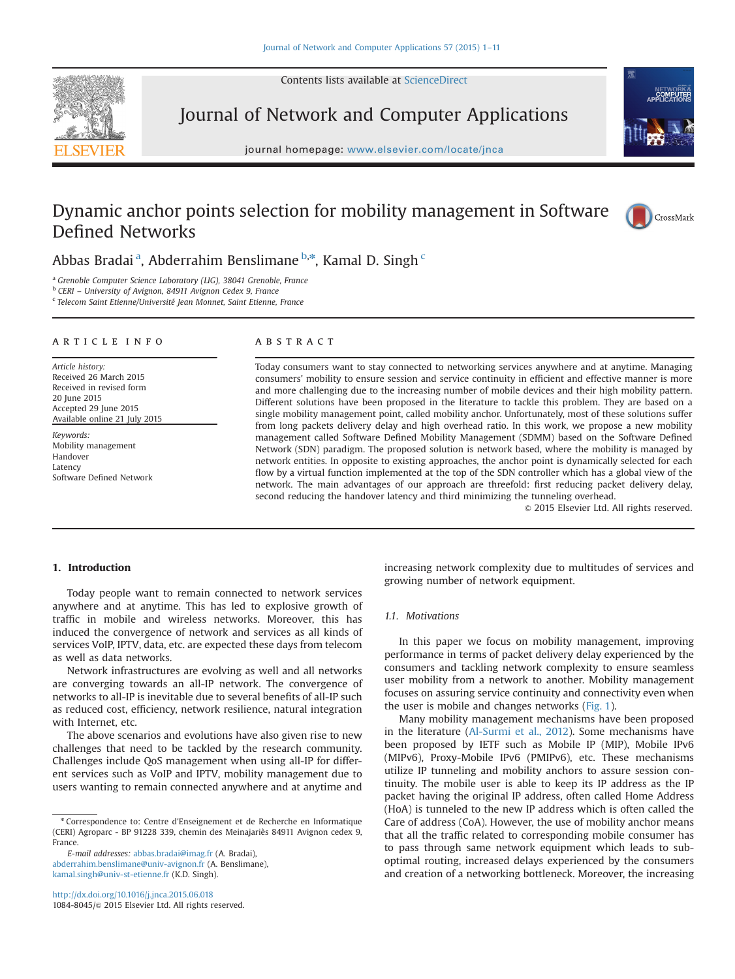Contents lists available at [ScienceDirect](www.sciencedirect.com/science/journal/10848045)



Journal of Network and Computer Applications





## Dynamic anchor points selection for mobility management in Software Defined Networks



Abbas Bradai<sup>a</sup>, Abderrahim Benslimane <sup>b,\*</sup>, Kamal D. Singh <sup>c</sup>

<sup>a</sup> Grenoble Computer Science Laboratory (LIG), 38041 Grenoble, France

<sup>b</sup> CERI – University of Avignon, 84911 Avignon Cedex 9, France

 $\,^{\mathrm{c}}$  Telecom Saint Etienne/Université Jean Monnet, Saint Etienne, France

#### article info

Article history: Received 26 March 2015 Received in revised form 20 June 2015 Accepted 29 June 2015 Available online 21 July 2015

Keywords: Mobility management Handover Latency Software Defined Network

#### **ABSTRACT**

Today consumers want to stay connected to networking services anywhere and at anytime. Managing consumers' mobility to ensure session and service continuity in efficient and effective manner is more and more challenging due to the increasing number of mobile devices and their high mobility pattern. Different solutions have been proposed in the literature to tackle this problem. They are based on a single mobility management point, called mobility anchor. Unfortunately, most of these solutions suffer from long packets delivery delay and high overhead ratio. In this work, we propose a new mobility management called Software Defined Mobility Management (SDMM) based on the Software Defined Network (SDN) paradigm. The proposed solution is network based, where the mobility is managed by network entities. In opposite to existing approaches, the anchor point is dynamically selected for each flow by a virtual function implemented at the top of the SDN controller which has a global view of the network. The main advantages of our approach are threefold: first reducing packet delivery delay, second reducing the handover latency and third minimizing the tunneling overhead.

 $@$  2015 Elsevier Ltd. All rights reserved.

### 1. Introduction

Today people want to remain connected to network services anywhere and at anytime. This has led to explosive growth of traffic in mobile and wireless networks. Moreover, this has induced the convergence of network and services as all kinds of services VoIP, IPTV, data, etc. are expected these days from telecom as well as data networks.

Network infrastructures are evolving as well and all networks are converging towards an all-IP network. The convergence of networks to all-IP is inevitable due to several benefits of all-IP such as reduced cost, efficiency, network resilience, natural integration with Internet, etc.

The above scenarios and evolutions have also given rise to new challenges that need to be tackled by the research community. Challenges include QoS management when using all-IP for different services such as VoIP and IPTV, mobility management due to users wanting to remain connected anywhere and at anytime and increasing network complexity due to multitudes of services and growing number of network equipment.

#### 1.1. Motivations

In this paper we focus on mobility management, improving performance in terms of packet delivery delay experienced by the consumers and tackling network complexity to ensure seamless user mobility from a network to another. Mobility management focuses on assuring service continuity and connectivity even when the user is mobile and changes networks (Fig. 1).

Many mobility management mechanisms have been proposed in the literature (Al-Surmi et al., 2012). Some mechanisms have been proposed by IETF such as Mobile IP (MIP), Mobile IPv6 (MIPv6), Proxy-Mobile IPv6 (PMIPv6), etc. These mechanisms utilize IP tunneling and mobility anchors to assure session continuity. The mobile user is able to keep its IP address as the IP packet having the original IP address, often called Home Address (HoA) is tunneled to the new IP address which is often called the Care of address (CoA). However, the use of mobility anchor means that all the traffic related to corresponding mobile consumer has to pass through same network equipment which leads to suboptimal routing, increased delays experienced by the consumers and creation of a networking bottleneck. Moreover, the increasing

<sup>\*</sup> Correspondence to: Centre d'Enseignement et de Recherche en Informatique (CERI) Agroparc - BP 91228 339, chemin des Meinajariès 84911 Avignon cedex 9, France.

E-mail addresses: [abbas.bradai@imag.fr](mailto:abbas.bradai@imag.fr) (A. Bradai), [abderrahim.benslimane@univ-avignon.fr](mailto:abderrahim.benslimane@univ-avignon.fr) (A. Benslimane), [kamal.singh@univ-st-etienne.fr](mailto:kamal.singh@univ-st-etienne.fr) (K.D. Singh).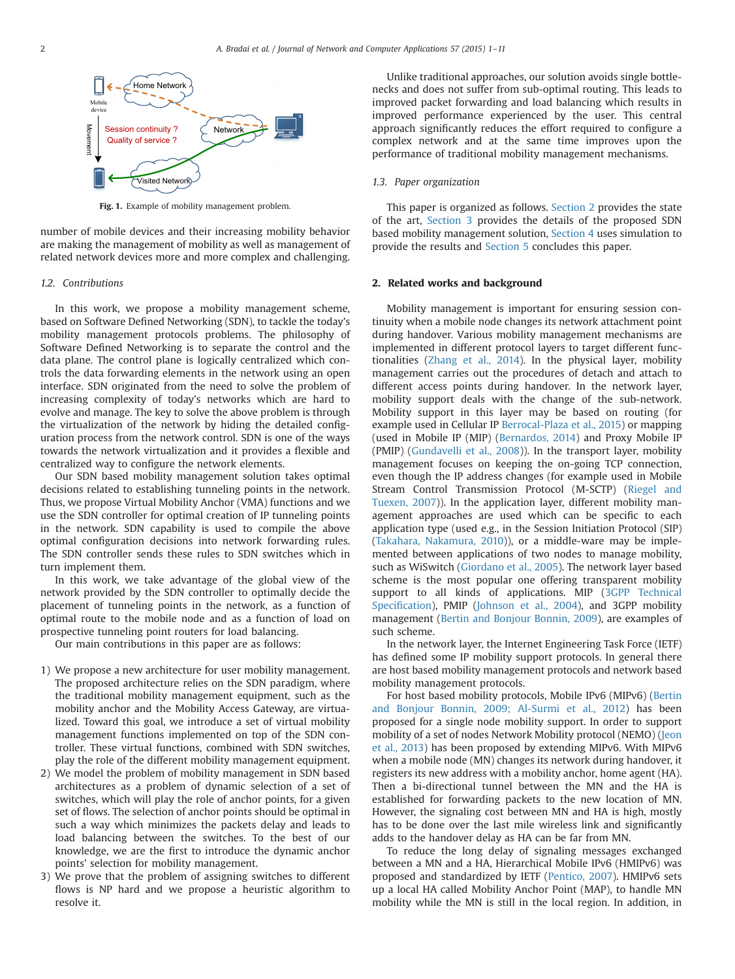

Fig. 1. Example of mobility management problem.

number of mobile devices and their increasing mobility behavior are making the management of mobility as well as management of related network devices more and more complex and challenging.

#### 1.2. Contributions

In this work, we propose a mobility management scheme, based on Software Defined Networking (SDN), to tackle the today's mobility management protocols problems. The philosophy of Software Defined Networking is to separate the control and the data plane. The control plane is logically centralized which controls the data forwarding elements in the network using an open interface. SDN originated from the need to solve the problem of increasing complexity of today's networks which are hard to evolve and manage. The key to solve the above problem is through the virtualization of the network by hiding the detailed configuration process from the network control. SDN is one of the ways towards the network virtualization and it provides a flexible and centralized way to configure the network elements.

Our SDN based mobility management solution takes optimal decisions related to establishing tunneling points in the network. Thus, we propose Virtual Mobility Anchor (VMA) functions and we use the SDN controller for optimal creation of IP tunneling points in the network. SDN capability is used to compile the above optimal configuration decisions into network forwarding rules. The SDN controller sends these rules to SDN switches which in turn implement them.

In this work, we take advantage of the global view of the network provided by the SDN controller to optimally decide the placement of tunneling points in the network, as a function of optimal route to the mobile node and as a function of load on prospective tunneling point routers for load balancing.

Our main contributions in this paper are as follows:

- 1) We propose a new architecture for user mobility management. The proposed architecture relies on the SDN paradigm, where the traditional mobility management equipment, such as the mobility anchor and the Mobility Access Gateway, are virtualized. Toward this goal, we introduce a set of virtual mobility management functions implemented on top of the SDN controller. These virtual functions, combined with SDN switches, play the role of the different mobility management equipment.
- 2) We model the problem of mobility management in SDN based architectures as a problem of dynamic selection of a set of switches, which will play the role of anchor points, for a given set of flows. The selection of anchor points should be optimal in such a way which minimizes the packets delay and leads to load balancing between the switches. To the best of our knowledge, we are the first to introduce the dynamic anchor points' selection for mobility management.
- 3) We prove that the problem of assigning switches to different flows is NP hard and we propose a heuristic algorithm to resolve it.

Unlike traditional approaches, our solution avoids single bottlenecks and does not suffer from sub-optimal routing. This leads to improved packet forwarding and load balancing which results in improved performance experienced by the user. This central approach significantly reduces the effort required to configure a complex network and at the same time improves upon the performance of traditional mobility management mechanisms.

#### 1.3. Paper organization

This paper is organized as follows. Section 2 provides the state of the art, Section 3 provides the details of the proposed SDN based mobility management solution, Section 4 uses simulation to provide the results and Section 5 concludes this paper.

#### 2. Related works and background

Mobility management is important for ensuring session continuity when a mobile node changes its network attachment point during handover. Various mobility management mechanisms are implemented in different protocol layers to target different functionalities (Zhang et al., 2014). In the physical layer, mobility management carries out the procedures of detach and attach to different access points during handover. In the network layer, mobility support deals with the change of the sub-network. Mobility support in this layer may be based on routing (for example used in Cellular IP Berrocal-Plaza et al., 2015) or mapping (used in Mobile IP (MIP) (Bernardos, 2014) and Proxy Mobile IP (PMIP) (Gundavelli et al., 2008)). In the transport layer, mobility management focuses on keeping the on-going TCP connection, even though the IP address changes (for example used in Mobile Stream Control Transmission Protocol (M-SCTP) (Riegel and Tuexen, 2007)). In the application layer, different mobility management approaches are used which can be specific to each application type (used e.g., in the Session Initiation Protocol (SIP) (Takahara, Nakamura, 2010)), or a middle-ware may be implemented between applications of two nodes to manage mobility, such as WiSwitch (Giordano et al., 2005). The network layer based scheme is the most popular one offering transparent mobility support to all kinds of applications. MIP (3GPP Technical Specification), PMIP (Johnson et al., 2004), and 3GPP mobility management (Bertin and Bonjour Bonnin, 2009), are examples of such scheme.

In the network layer, the Internet Engineering Task Force (IETF) has defined some IP mobility support protocols. In general there are host based mobility management protocols and network based mobility management protocols.

For host based mobility protocols, Mobile IPv6 (MIPv6) (Bertin and Bonjour Bonnin, 2009; Al-Surmi et al., 2012) has been proposed for a single node mobility support. In order to support mobility of a set of nodes Network Mobility protocol (NEMO) (Jeon et al., 2013) has been proposed by extending MIPv6. With MIPv6 when a mobile node (MN) changes its network during handover, it registers its new address with a mobility anchor, home agent (HA). Then a bi-directional tunnel between the MN and the HA is established for forwarding packets to the new location of MN. However, the signaling cost between MN and HA is high, mostly has to be done over the last mile wireless link and significantly adds to the handover delay as HA can be far from MN.

To reduce the long delay of signaling messages exchanged between a MN and a HA, Hierarchical Mobile IPv6 (HMIPv6) was proposed and standardized by IETF (Pentico, 2007). HMIPv6 sets up a local HA called Mobility Anchor Point (MAP), to handle MN mobility while the MN is still in the local region. In addition, in